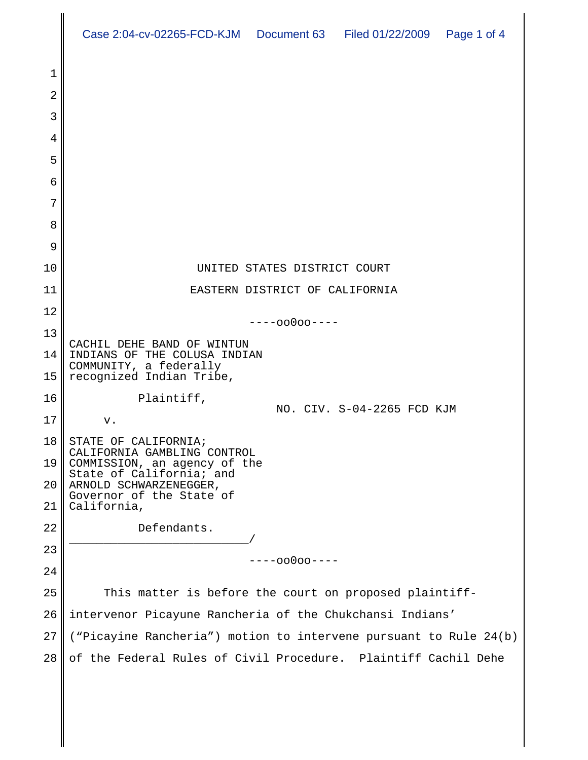|          | Case 2:04-cv-02265-FCD-KJM  Document 63  Filed 01/22/2009  Page 1 of 4              |
|----------|-------------------------------------------------------------------------------------|
|          |                                                                                     |
| 1<br>2   |                                                                                     |
| 3        |                                                                                     |
| 4        |                                                                                     |
| 5        |                                                                                     |
| 6        |                                                                                     |
| 7        |                                                                                     |
| 8        |                                                                                     |
| 9        |                                                                                     |
| 10       | UNITED STATES DISTRICT COURT                                                        |
| 11       | EASTERN DISTRICT OF CALIFORNIA                                                      |
| 12       | $---00000---$                                                                       |
| 13       | CACHIL DEHE BAND OF WINTUN                                                          |
| 14       | INDIANS OF THE COLUSA INDIAN<br>COMMUNITY, a federally                              |
| 15       | recognized Indian Tribe,                                                            |
| 16       | Plaintiff,<br>NO. CIV. S-04-2265 FCD KJM                                            |
| 17       | v.                                                                                  |
| 18<br>19 | STATE OF CALIFORNIA;<br>CALIFORNIA GAMBLING CONTROL<br>COMMISSION, an agency of the |
| 20       | State of California; and<br>ARNOLD SCHWARZENEGGER,                                  |
| 21       | Governor of the State of<br>California,                                             |
| 22       | Defendants.                                                                         |
| 23       |                                                                                     |
| 24       | ----00000----                                                                       |
| 25       | This matter is before the court on proposed plaintiff-                              |
| 26       | intervenor Picayune Rancheria of the Chukchansi Indians'                            |
| 27       | ("Picayine Rancheria") motion to intervene pursuant to Rule 24(b)                   |
| 28       | of the Federal Rules of Civil Procedure. Plaintiff Cachil Dehe                      |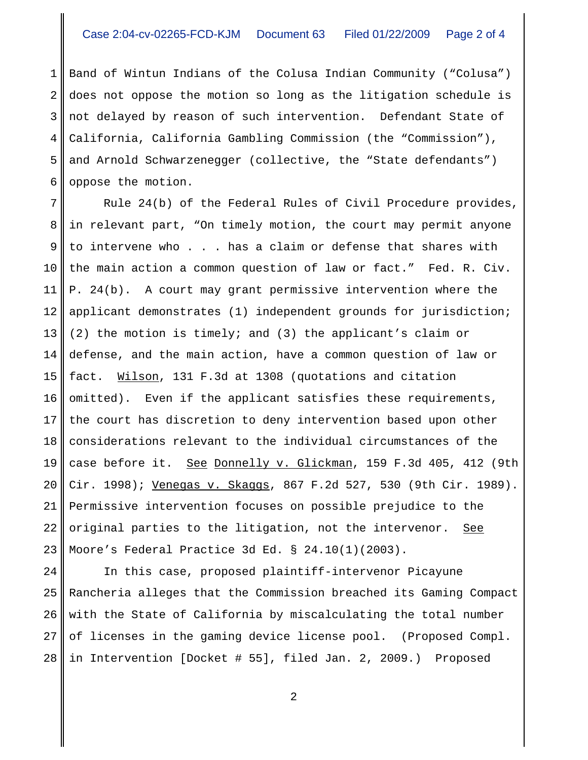1 2 3 4 5 6 Band of Wintun Indians of the Colusa Indian Community ("Colusa") does not oppose the motion so long as the litigation schedule is not delayed by reason of such intervention. Defendant State of California, California Gambling Commission (the "Commission"), and Arnold Schwarzenegger (collective, the "State defendants") oppose the motion.

7 8 9 10 11 12 13 14 15 16 17 18 19 20 21 22 23 Rule 24(b) of the Federal Rules of Civil Procedure provides, in relevant part, "On timely motion, the court may permit anyone to intervene who . . . has a claim or defense that shares with the main action a common question of law or fact." Fed. R. Civ. P. 24(b). A court may grant permissive intervention where the applicant demonstrates (1) independent grounds for jurisdiction; (2) the motion is timely; and (3) the applicant's claim or defense, and the main action, have a common question of law or fact. Wilson, 131 F.3d at 1308 (quotations and citation omitted). Even if the applicant satisfies these requirements, the court has discretion to deny intervention based upon other considerations relevant to the individual circumstances of the case before it. See Donnelly v. Glickman, 159 F.3d 405, 412 (9th Cir. 1998); Venegas v. Skaggs, 867 F.2d 527, 530 (9th Cir. 1989). Permissive intervention focuses on possible prejudice to the original parties to the litigation, not the intervenor. See Moore's Federal Practice 3d Ed. § 24.10(1)(2003).

24 25 26 27 28 In this case, proposed plaintiff-intervenor Picayune Rancheria alleges that the Commission breached its Gaming Compact with the State of California by miscalculating the total number of licenses in the gaming device license pool. (Proposed Compl. in Intervention [Docket # 55], filed Jan. 2, 2009.) Proposed

2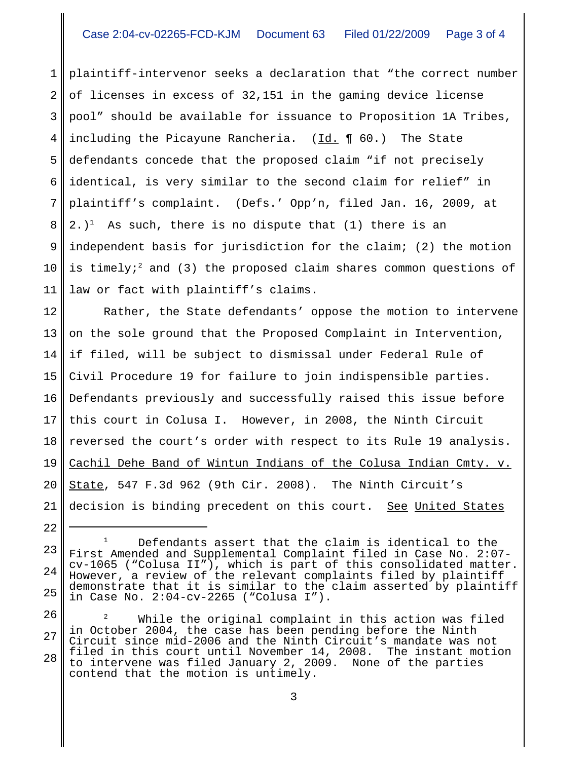1 2 3 4 5 6 7 8 9 10 11 plaintiff-intervenor seeks a declaration that "the correct number of licenses in excess of 32,151 in the gaming device license pool" should be available for issuance to Proposition 1A Tribes, including the Picayune Rancheria. (Id. ¶ 60.) The State defendants concede that the proposed claim "if not precisely identical, is very similar to the second claim for relief" in plaintiff's complaint. (Defs.' Opp'n, filed Jan. 16, 2009, at 2.)<sup>1</sup> As such, there is no dispute that (1) there is an independent basis for jurisdiction for the claim; (2) the motion is timely;<sup>2</sup> and (3) the proposed claim shares common questions of law or fact with plaintiff's claims.

12 13 14 15 16 17 18 19 20 21 Rather, the State defendants' oppose the motion to intervene on the sole ground that the Proposed Complaint in Intervention, if filed, will be subject to dismissal under Federal Rule of Civil Procedure 19 for failure to join indispensible parties. Defendants previously and successfully raised this issue before this court in Colusa I. However, in 2008, the Ninth Circuit reversed the court's order with respect to its Rule 19 analysis. Cachil Dehe Band of Wintun Indians of the Colusa Indian Cmty. v. State, 547 F.3d 962 (9th Cir. 2008). The Ninth Circuit's decision is binding precedent on this court. See United States

22

<sup>23</sup> 24 25 Defendants assert that the claim is identical to the First Amended and Supplemental Complaint filed in Case No. 2:07 cv-1065 ("Colusa II"), which is part of this consolidated matter. However, a review of the relevant complaints filed by plaintiff demonstrate that it is similar to the claim asserted by plaintiff in Case No. 2:04-cv-2265 ("Colusa I").

<sup>26</sup> 27 28  $2^2$  While the original complaint in this action was filed in October 2004, the case has been pending before the Ninth Circuit since mid-2006 and the Ninth Circuit's mandate was not filed in this court until November 14, 2008. The instant motion to intervene was filed January 2, 2009. None of the parties contend that the motion is untimely.